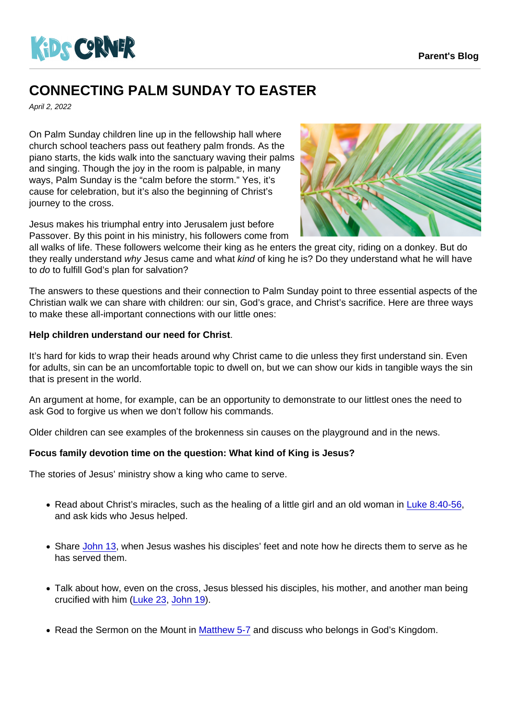## CONNECTING PALM SUNDAY TO EASTER

April 2, 2022

On Palm Sunday children line up in the fellowship hall where church school teachers pass out feathery palm fronds. As the piano starts, the kids walk into the sanctuary waving their palms and singing. Though the joy in the room is palpable, in many ways, Palm Sunday is the "calm before the storm." Yes, it's cause for celebration, but it's also the beginning of Christ's journey to the cross.

Jesus makes his triumphal entry into Jerusalem just before Passover. By this point in his ministry, his followers come from

all walks of life. These followers welcome their king as he enters the great city, riding on a donkey. But do they really understand why Jesus came and what kind of king he is? Do they understand what he will have to do to fulfill God's plan for salvation?

The answers to these questions and their connection to Palm Sunday point to three essential aspects of the Christian walk we can share with children: our sin, God's grace, and Christ's sacrifice. Here are three ways to make these all-important connections with our little ones:

Help children understand our need for Christ .

It's hard for kids to wrap their heads around why Christ came to die unless they first understand sin. Even for adults, sin can be an uncomfortable topic to dwell on, but we can show our kids in tangible ways the sin that is present in the world.

An argument at home, for example, can be an opportunity to demonstrate to our littlest ones the need to ask God to forgive us when we don't follow his commands.

Older children can see examples of the brokenness sin causes on the playground and in the news.

Focus family devotion time on the question: What kind of King is Jesus?

The stories of Jesus' ministry show a king who came to serve.

- Read about Christ's miracles, such as the healing of a little girl and an old woman in [Luke 8:40-56](https://www.biblegateway.com/passage/?search=Luke+8:40-56&version=CEV), and ask kids who Jesus helped.
- Share [John 13,](https://www.biblegateway.com/passage/?search=John+13&version=CEV) when Jesus washes his disciples' feet and note how he directs them to serve as he has served them.
- Talk about how, even on the cross, Jesus blessed his disciples, his mother, and another man being crucified with him [\(Luke 23](https://www.biblegateway.com/passage/?search=Luke 23&version=CEV), [John 19](https://www.biblegateway.com/passage/?search=John 19&version=CEV)).
- Read the Sermon on the Mount in [Matthew 5-7](https://www.biblegateway.com/passage/?search=Matthew+5-7&version=CEV) and discuss who belongs in God's Kingdom.